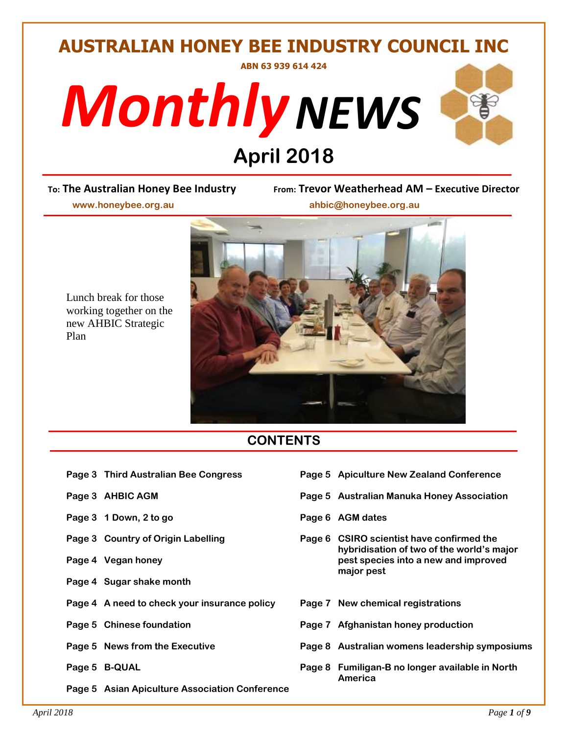# **AUSTRALIAN HONEY BEE INDUSTRY COUNCIL INC ABN 63 939 614 424**





# April 2018<br>
From: Trevor Wear

**To: The Australian Honey Bee Industry From: Trevor Weatherhead AM – Executive Director**

 **www.honeybee.org.au ahbic@honeybee.org.au**

Lunch break for those working together on the new AHBIC Strategic Plan



# **CONTENTS**

- 
- 
- Page 3 1 Down, 2 to go **Page 6** AGM dates
- 
- 
- **Page 4 Sugar shake month**
- **Page 4 A need to check your insurance policy Page 7 New chemical registrations**
- 
- 
- 

**Page 5 Asian Apiculture Association Conference**

- **Page 3 Third Australian Bee Congress Page 5 Apiculture New Zealand Conference**
- **Page 3 AHBIC AGM Page 5 Australian Manuka Honey Association**
	-
- **Page 3 Country of Origin Labelling Page 6 CSIRO scientist have confirmed the hybridisation of two of the world's major Page 4 Vegan honey pest species into a new and improved major pest**
	-
- **Page 5 Chinese foundation Page 7 Afghanistan honey production**
- **Page 5 News from the Executive Page 8 Australian womens leadership symposiums**
- **Page 5 B-QUAL Page 8 Fumiligan-B no longer available in North America**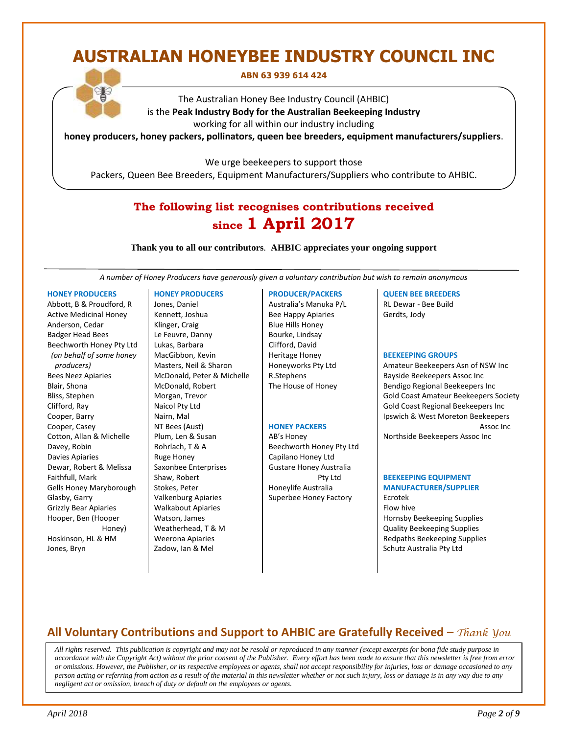# **AUSTRALIAN HONEYBEE INDUSTRY COUNCIL INC**

#### **ABN 63 939 614 424**

The Australian Honey Bee Industry Council (AHBIC) is the **Peak Industry Body for the Australian Beekeeping Industry** working for all within our industry including

**honey producers, honey packers, pollinators, queen bee breeders, equipment manufacturers/suppliers**.

We urge beekeepers to support those

Packers, Queen Bee Breeders, Equipment Manufacturers/Suppliers who contribute to AHBIC.

# **The following list recognises contributions received since 1 April 2017**

**Thank you to all our contributors***.* **AHBIC appreciates your ongoing support**

*A number of Honey Producers have generously given a voluntary contribution but wish to remain anonymous*

#### **HONEY PRODUCERS**

Abbott, B & Proudford, R Active Medicinal Honey Anderson, Cedar Badger Head Bees Beechworth Honey Pty Ltd *(on behalf of some honey producers)* Bees Neez Apiaries Blair, Shona Bliss, Stephen Clifford, Ray Cooper, Barry Cooper, Casey Cotton, Allan & Michelle Davey, Robin Davies Apiaries Dewar, Robert & Melissa Faithfull, Mark Gells Honey Maryborough Glasby, Garry Grizzly Bear Apiaries Hooper, Ben (Hooper Honey) Hoskinson, HL & HM Jones, Bryn

#### **HONEY PRODUCERS**

Jones, Daniel Kennett, Joshua Klinger, Craig Le Feuvre, Danny Lukas, Barbara MacGibbon, Kevin Masters, Neil & Sharon McDonald, Peter & Michelle McDonald, Robert Morgan, Trevor Naicol Pty Ltd Nairn, Mal NT Bees (Aust) Plum, Len & Susan Rohrlach, T & A Ruge Honey Saxonbee Enterprises Shaw, Robert Stokes, Peter Valkenburg Apiaries Walkabout Apiaries Watson, James Weatherhead, T & M Weerona Apiaries Zadow, Ian & Mel

#### **PRODUCER/PACKERS**

Australia's Manuka P/L Bee Happy Apiaries Blue Hills Honey Bourke, Lindsay Clifford, David Heritage Honey Honeyworks Pty Ltd R.Stephens The House of Honey

#### **HONEY PACKERS**

AB's Honey Beechworth Honey Pty Ltd Capilano Honey Ltd Gustare Honey Australia Pty Ltd Honeylife Australia Superbee Honey Factory

#### **QUEEN BEE BREEDERS**

RL Dewar - Bee Build Gerdts, Jody

#### **BEEKEEPING GROUPS**

Amateur Beekeepers Asn of NSW Inc Bayside Beekeepers Assoc Inc Bendigo Regional Beekeepers Inc Gold Coast Amateur Beekeepers Society Gold Coast Regional Beekeepers Inc Ipswich & West Moreton Beekeepers Assoc Inc

Northside Beekeepers Assoc Inc

#### **BEEKEEPING EQUIPMENT MANUFACTURER/SUPPLIER**

Ecrotek Flow hive Hornsby Beekeeping Supplies Quality Beekeeping Supplies Redpaths Beekeeping Supplies Schutz Australia Pty Ltd

#### **All Voluntary Contributions and Support to AHBIC are Gratefully Received –** *Thank You*

 *All rights reserved. This publication is copyright and may not be resold or reproduced in any manner (except excerpts for bona fide study purpose in accordance with the Copyright Act) without the prior consent of the Publisher. Every effort has been made to ensure that this newsletter is free from error or omissions. However, the Publisher, or its respective employees or agents, shall not accept responsibility for injuries, loss or damage occasioned to any person acting or referring from action as a result of the material in this newsletter whether or not such injury, loss or damage is in any way due to any negligent act or omission, breach of duty or default on the employees or agents.*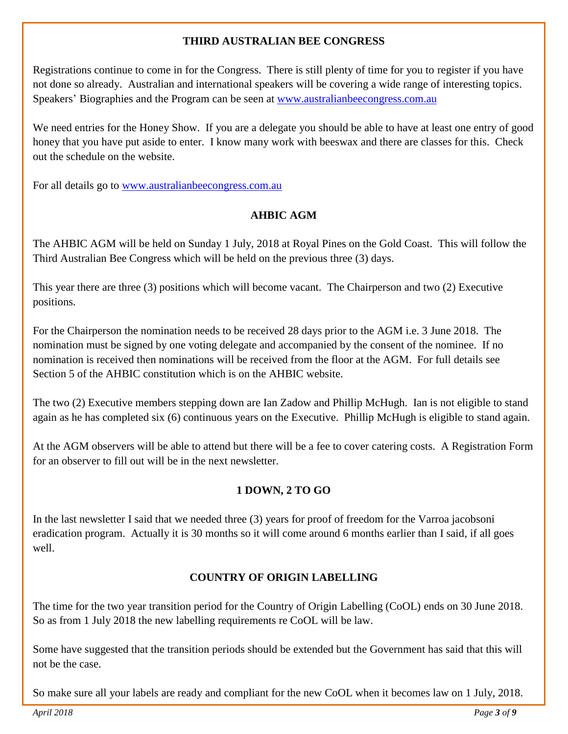#### **THIRD AUSTRALIAN BEE CONGRESS**

Registrations continue to come in for the Congress. There is still plenty of time for you to register if you have not done so already. Australian and international speakers will be covering a wide range of interesting topics. Speakers' Biographies and the Program can be seen at [www.australianbeecongress.com.au](http://www.australianbeecongress.com.au/)

We need entries for the Honey Show. If you are a delegate you should be able to have at least one entry of good honey that you have put aside to enter. I know many work with beeswax and there are classes for this. Check out the schedule on the website.

For all details go to [www.australianbeecongress.com.au](http://www.australianbeecongress.com.au/)

#### **AHBIC AGM**

The AHBIC AGM will be held on Sunday 1 July, 2018 at Royal Pines on the Gold Coast. This will follow the Third Australian Bee Congress which will be held on the previous three (3) days.

This year there are three (3) positions which will become vacant. The Chairperson and two (2) Executive positions.

For the Chairperson the nomination needs to be received 28 days prior to the AGM i.e. 3 June 2018. The nomination must be signed by one voting delegate and accompanied by the consent of the nominee. If no nomination is received then nominations will be received from the floor at the AGM. For full details see Section 5 of the AHBIC constitution which is on the AHBIC website.

The two (2) Executive members stepping down are Ian Zadow and Phillip McHugh. Ian is not eligible to stand again as he has completed six (6) continuous years on the Executive. Phillip McHugh is eligible to stand again.

At the AGM observers will be able to attend but there will be a fee to cover catering costs. A Registration Form for an observer to fill out will be in the next newsletter.

#### **1 DOWN, 2 TO GO**

In the last newsletter I said that we needed three (3) years for proof of freedom for the Varroa jacobsoni eradication program. Actually it is 30 months so it will come around 6 months earlier than I said, if all goes well.

#### **COUNTRY OF ORIGIN LABELLING**

The time for the two year transition period for the Country of Origin Labelling (CoOL) ends on 30 June 2018. So as from 1 July 2018 the new labelling requirements re CoOL will be law.

Some have suggested that the transition periods should be extended but the Government has said that this will not be the case.

So make sure all your labels are ready and compliant for the new CoOL when it becomes law on 1 July, 2018.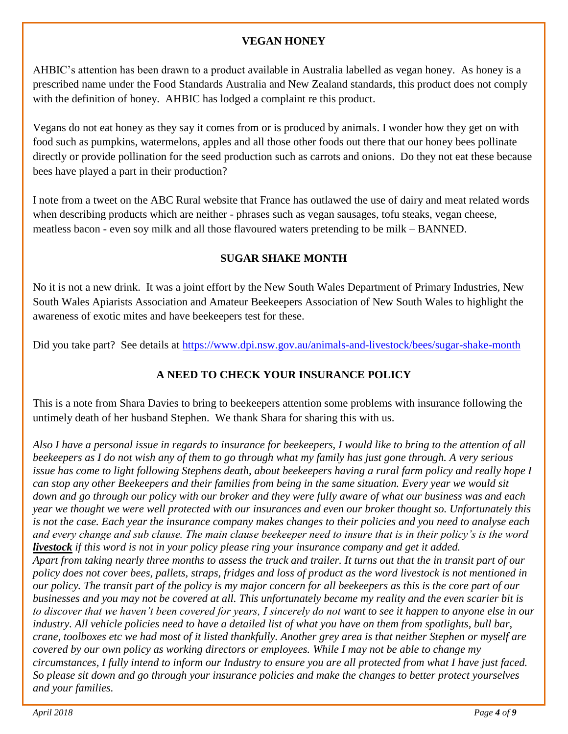#### **VEGAN HONEY**

AHBIC's attention has been drawn to a product available in Australia labelled as vegan honey. As honey is a prescribed name under the Food Standards Australia and New Zealand standards, this product does not comply with the definition of honey. AHBIC has lodged a complaint re this product.

Vegans do not eat honey as they say it comes from or is produced by animals. I wonder how they get on with food such as pumpkins, watermelons, apples and all those other foods out there that our honey bees pollinate directly or provide pollination for the seed production such as carrots and onions. Do they not eat these because bees have played a part in their production?

I note from a tweet on the ABC Rural website that France has outlawed the use of dairy and meat related words when describing products which are neither - phrases such as vegan sausages, tofu steaks, vegan cheese, meatless bacon - even soy milk and all those flavoured waters pretending to be milk – BANNED.

# **SUGAR SHAKE MONTH**

No it is not a new drink. It was a joint effort by the New South Wales Department of Primary Industries, New South Wales Apiarists Association and Amateur Beekeepers Association of New South Wales to highlight the awareness of exotic mites and have beekeepers test for these.

Did you take part? See details at<https://www.dpi.nsw.gov.au/animals-and-livestock/bees/sugar-shake-month>

# **A NEED TO CHECK YOUR INSURANCE POLICY**

This is a note from Shara Davies to bring to beekeepers attention some problems with insurance following the untimely death of her husband Stephen. We thank Shara for sharing this with us.

*Also I have a personal issue in regards to insurance for beekeepers, I would like to bring to the attention of all beekeepers as I do not wish any of them to go through what my family has just gone through. A very serious issue has come to light following Stephens death, about beekeepers having a rural farm policy and really hope I can stop any other Beekeepers and their families from being in the same situation. Every year we would sit down and go through our policy with our broker and they were fully aware of what our business was and each year we thought we were well protected with our insurances and even our broker thought so. Unfortunately this is not the case. Each year the insurance company makes changes to their policies and you need to analyse each and every change and sub clause. The main clause beekeeper need to insure that is in their policy's is the word livestock if this word is not in your policy please ring your insurance company and get it added. Apart from taking nearly three months to assess the truck and trailer. It turns out that the in transit part of our policy does not cover bees, pallets, straps, fridges and loss of product as the word livestock is not mentioned in our policy. The transit part of the policy is my major concern for all beekeepers as this is the core part of our businesses and you may not be covered at all. This unfortunately became my reality and the even scarier bit is to discover that we haven't been covered for years, I sincerely do not want to see it happen to anyone else in our industry. All vehicle policies need to have a detailed list of what you have on them from spotlights, bull bar, crane, toolboxes etc we had most of it listed thankfully. Another grey area is that neither Stephen or myself are covered by our own policy as working directors or employees. While I may not be able to change my circumstances, I fully intend to inform our Industry to ensure you are all protected from what I have just faced. So please sit down and go through your insurance policies and make the changes to better protect yourselves and your families.*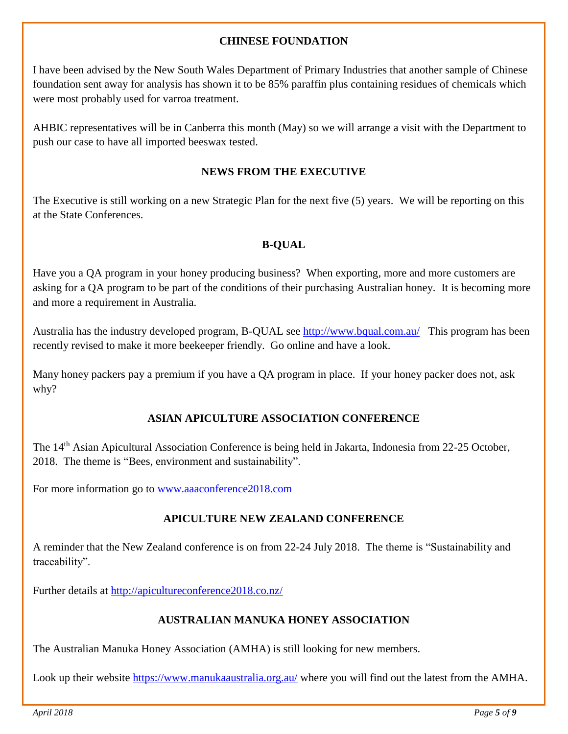#### **CHINESE FOUNDATION**

I have been advised by the New South Wales Department of Primary Industries that another sample of Chinese foundation sent away for analysis has shown it to be 85% paraffin plus containing residues of chemicals which were most probably used for varroa treatment.

AHBIC representatives will be in Canberra this month (May) so we will arrange a visit with the Department to push our case to have all imported beeswax tested.

#### **NEWS FROM THE EXECUTIVE**

The Executive is still working on a new Strategic Plan for the next five (5) years. We will be reporting on this at the State Conferences.

#### **B-QUAL**

Have you a QA program in your honey producing business? When exporting, more and more customers are asking for a QA program to be part of the conditions of their purchasing Australian honey. It is becoming more and more a requirement in Australia.

Australia has the industry developed program, B-QUAL see<http://www.bqual.com.au/>This program has been recently revised to make it more beekeeper friendly. Go online and have a look.

Many honey packers pay a premium if you have a QA program in place. If your honey packer does not, ask why?

#### **ASIAN APICULTURE ASSOCIATION CONFERENCE**

The 14th Asian Apicultural Association Conference is being held in Jakarta, Indonesia from 22-25 October, 2018. The theme is "Bees, environment and sustainability".

For more information go to [www.aaaconference2018.com](http://www.aaaconference2018.com/)

# **APICULTURE NEW ZEALAND CONFERENCE**

A reminder that the New Zealand conference is on from 22-24 July 2018. The theme is "Sustainability and traceability".

Further details at<http://apicultureconference2018.co.nz/>

#### **AUSTRALIAN MANUKA HONEY ASSOCIATION**

The Australian Manuka Honey Association (AMHA) is still looking for new members.

Look up their website<https://www.manukaaustralia.org.au/> where you will find out the latest from the AMHA.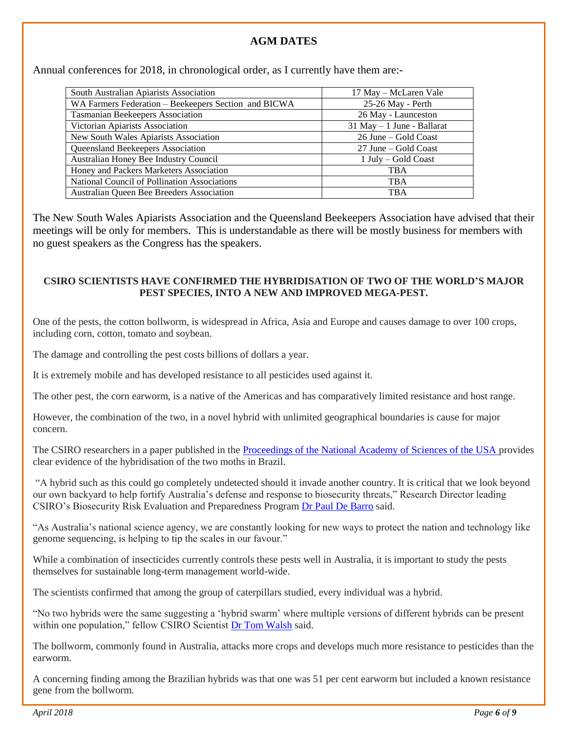#### **AGM DATES**

Annual conferences for 2018, in chronological order, as I currently have them are:-

| South Australian Apiarists Association               | 17 May – McLaren Vale         |
|------------------------------------------------------|-------------------------------|
| WA Farmers Federation – Beekeepers Section and BICWA | 25-26 May - Perth             |
| <b>Tasmanian Beekeepers Association</b>              | 26 May - Launceston           |
| Victorian Apiarists Association                      | $31$ May $-1$ June - Ballarat |
| New South Wales Apiarists Association                | 26 June – Gold Coast          |
| Queensland Beekeepers Association                    | 27 June – Gold Coast          |
| Australian Honey Bee Industry Council                | 1 July – Gold Coast           |
| Honey and Packers Marketers Association              | <b>TBA</b>                    |
| National Council of Pollination Associations         | <b>TBA</b>                    |
| Australian Queen Bee Breeders Association            | <b>TBA</b>                    |

The New South Wales Apiarists Association and the Queensland Beekeepers Association have advised that their meetings will be only for members. This is understandable as there will be mostly business for members with no guest speakers as the Congress has the speakers.

#### **CSIRO SCIENTISTS HAVE CONFIRMED THE HYBRIDISATION OF TWO OF THE WORLD'S MAJOR PEST SPECIES, INTO A NEW AND IMPROVED MEGA-PEST.**

One of the pests, the cotton bollworm, is widespread in Africa, Asia and Europe and causes damage to over 100 crops, including corn, cotton, tomato and soybean.

The damage and controlling the pest costs billions of dollars a year.

It is extremely mobile and has developed resistance to all pesticides used against it.

The other pest, the corn earworm, is a native of the Americas and has comparatively limited resistance and host range.

However, the combination of the two, in a novel hybrid with unlimited geographical boundaries is cause for major concern.

The CSIRO researchers in a paper published in the [Proceedings of the National Academy of Sciences of the USA p](https://doi.org/10.1073/pnas.1718831115)rovides clear evidence of the hybridisation of the two moths in Brazil.

"A hybrid such as this could go completely undetected should it invade another country. It is critical that we look beyond our own backyard to help fortify Australia's defense and response to biosecurity threats," Research Director leading CSIRO's Biosecurity Risk Evaluation and Preparedness Program [Dr Paul De Barro](http://people.csiro.au/D/P/Paul-Debarro) said.

"As Australia's national science agency, we are constantly looking for new ways to protect the nation and technology like genome sequencing, is helping to tip the scales in our favour."

While a combination of insecticides currently controls these pests well in Australia, it is important to study the pests themselves for sustainable long-term management world-wide.

The scientists confirmed that among the group of caterpillars studied, every individual was a hybrid.

"No two hybrids were the same suggesting a 'hybrid swarm' where multiple versions of different hybrids can be present within one population," fellow CSIRO Scientist [Dr Tom Walsh](http://people.csiro.au/W/T/Tom-Walsh) said.

The bollworm, commonly found in Australia, attacks more crops and develops much more resistance to pesticides than the earworm.

A concerning finding among the Brazilian hybrids was that one was 51 per cent earworm but included a known resistance gene from the bollworm.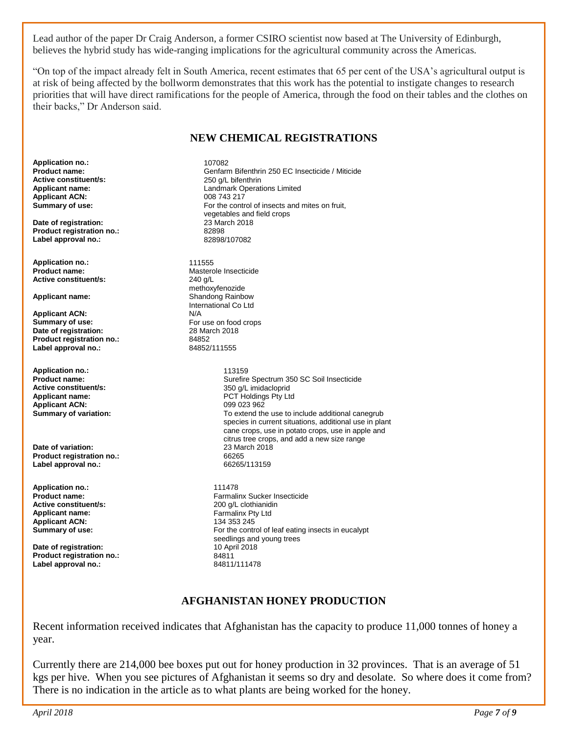Lead author of the paper Dr Craig Anderson, a former CSIRO scientist now based at The University of Edinburgh, believes the hybrid study has wide-ranging implications for the agricultural community across the Americas.

"On top of the impact already felt in South America, recent estimates that 65 per cent of the USA's agricultural output is at risk of being affected by the bollworm demonstrates that this work has the potential to instigate changes to research priorities that will have direct ramifications for the people of America, through the food on their tables and the clothes on their backs," Dr Anderson said.

#### **NEW CHEMICAL REGISTRATIONS**

**Application no.:** 107082<br> **Product name:** 2021 Centary **Active constituent/s:** <br> **Applicant name:** <br> **Applicant name:** <br> **Applicant name:** <br> **A** Landmark Operat **Applicant ACN:**<br>Summary of use:

**Date of registration:** 23 March 2018<br> **Product registration no:** 22898 **Product registration no.:** 82898 Label approval no.:

**Application no.:** 2001 11555<br> **Product name:** 2001 2002 Master **Active constituent/s:** 

**Applicant ACN:**<br>Summary of use: **Date of registration:** 28 May 28 March 2018 **Product registration no.:** 84852<br> **Label approval no.:** 84852/111555 Label approval no.:

**Application no.:** 113159 **Active constituent/s:**  $\begin{array}{ccc}\n 350 \text{ g/L} & \text{midaclopid} \\
 \text{Application} & \text{PCT} & \text{HoldingS} & \text{Pt/L} \\
 \end{array}$ **Applicant ACN:**<br>**Summary of variation:** 

**Date of variation:** 23 March 2018<br> **Product registration no :** 23 March 2018 **Product registration no.:** 66265 Label approval no.:

**Application no.:** 111478 **Active constituent/s: Applicant name:** Farmalinx Pty Ltd **Applicant ACN:**<br>Summary of use:

**Date of registration: 10 April 2018**<br> **Product registration no.:** 84811 **Product registration no.:** 84811<br>
Label approval no.: 84811/111478 Label approval no.:

**Product name: Calcular Confarm Bifenthrin 250 EC Insecticide / Miticide** Active constituent/s: **Active Constituent/s:** 250 o/l bifenthrin Landmark Operations Limited<br>008 743 217 For the control of insects and mites on fruit, vegetables and field crops<br>23 March 2018

**Masterole Insecticide**<br>240 g/l methoxyfenozide **Applicant name: Shandong Rainbow** International Co Ltd<br>N/A For use on food crops<br>28 March 2018

**Product name: Product name: Surefire Spectrum 350 SC Soil Insecticide**<br> **Active constituent/s:** 250 a/L imidacloprid PCT Holdings Pty Ltd<br>099 023 962 To extend the use to include additional canegrub species in current situations, additional use in plant cane crops, use in potato crops, use in apple and citrus tree crops, and add a new size range

> Farmalinx Sucker Insecticide<br>200 q/L clothianidin For the control of leaf eating insects in eucalypt seedlings and young trees

#### **AFGHANISTAN HONEY PRODUCTION**

Recent information received indicates that Afghanistan has the capacity to produce 11,000 tonnes of honey a year.

Currently there are 214,000 bee boxes put out for honey production in 32 provinces. That is an average of 51 kgs per hive. When you see pictures of Afghanistan it seems so dry and desolate. So where does it come from? There is no indication in the article as to what plants are being worked for the honey.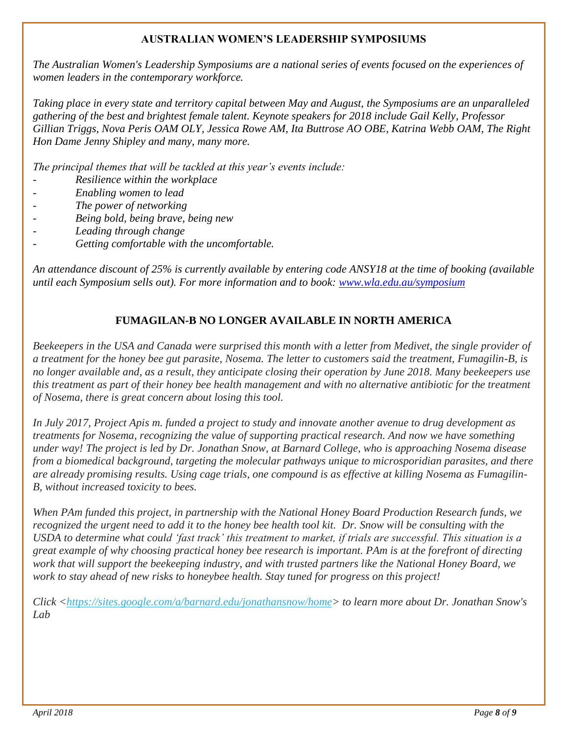#### **AUSTRALIAN WOMEN'S LEADERSHIP SYMPOSIUMS**

*The Australian Women's Leadership Symposiums are a national series of events focused on the experiences of women leaders in the contemporary workforce.*

*Taking place in every state and territory capital between May and August, the Symposiums are an unparalleled gathering of the best and brightest female talent. Keynote speakers for 2018 include Gail Kelly, Professor Gillian Triggs, Nova Peris OAM OLY, Jessica Rowe AM, Ita Buttrose AO OBE, Katrina Webb OAM, The Right Hon Dame Jenny Shipley and many, many more.* 

*The principal themes that will be tackled at this year's events include:*

- *Resilience within the workplace*
- *Enabling women to lead*
- *The power of networking*
- *Being bold, being brave, being new*
- *Leading through change*
- *Getting comfortable with the uncomfortable.*

*An attendance discount of 25% is currently available by entering code ANSY18 at the time of booking (available until each Symposium sells out). For more information and to book: [www.wla.edu.au/symposium](http://www.wla.edu.au/symposium)*

## **FUMAGILAN-B NO LONGER AVAILABLE IN NORTH AMERICA**

*Beekeepers in the USA and Canada were surprised this month with a letter from Medivet, the single provider of a treatment for the honey bee gut parasite, Nosema. The letter to customers said the treatment, Fumagilin-B, is no longer available and, as a result, they anticipate closing their operation by June 2018. Many beekeepers use this treatment as part of their honey bee health management and with no alternative antibiotic for the treatment of Nosema, there is great concern about losing this tool.*

*In July 2017, Project Apis m. funded a project to study and innovate another avenue to drug development as treatments for Nosema, recognizing the value of supporting practical research. And now we have something under way! The project is led by Dr. Jonathan Snow, at Barnard College, who is approaching Nosema disease from a biomedical background, targeting the molecular pathways unique to microsporidian parasites, and there are already promising results. Using cage trials, one compound is as effective at killing Nosema as Fumagilin-B, without increased toxicity to bees.*

*When PAm funded this project, in partnership with the National Honey Board Production Research funds, we recognized the urgent need to add it to the honey bee health tool kit. Dr. Snow will be consulting with the USDA to determine what could 'fast track' this treatment to market, if trials are successful. This situation is a great example of why choosing practical honey bee research is important. PAm is at the forefront of directing work that will support the beekeeping industry, and with trusted partners like the National Honey Board, we work to stay ahead of new risks to honeybee health. Stay tuned for progress on this project!*

*Click [<https://sites.google.com/a/barnard.edu/jonathansnow/home>](https://blogspot.us12.list-manage.com/track/click?u=22369801c17077d8e488a5a88&id=22b1b4bd8e&e=1e2469603f) to learn more about Dr. Jonathan Snow's Lab*